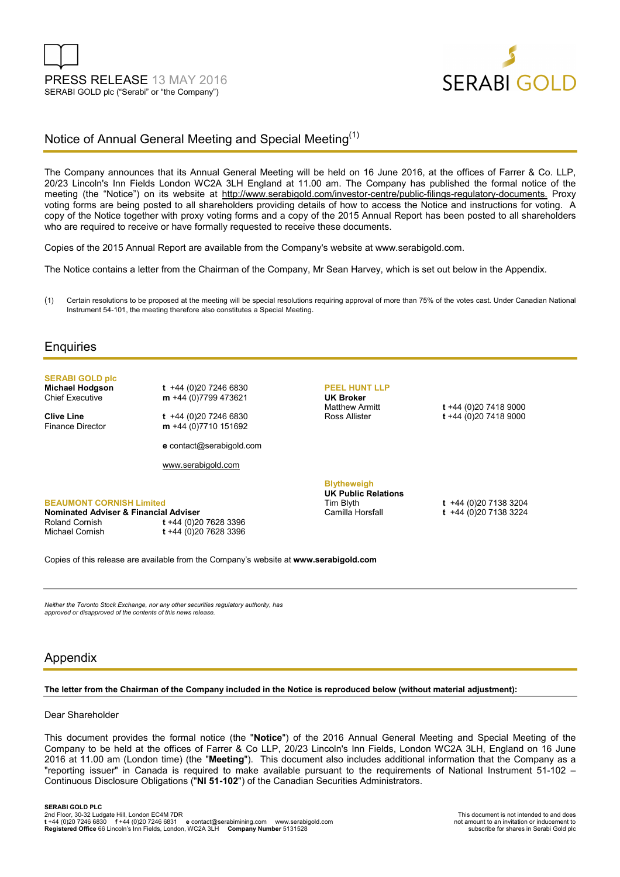



## Notice of Annual General Meeting and Special Meeting<sup>(1)</sup>

The Company announces that its Annual General Meeting will be held on 16 June 2016, at the offices of Farrer & Co. LLP, 20/23 Lincoln's Inn Fields London WC2A 3LH England at 11.00 am. The Company has published the formal notice of the meeting (the "Notice") on its website at http://www.serabigold.com/investor-centre/public-filings-regulatory-documents. Proxy voting forms are being posted to all shareholders providing details of how to access the Notice and instructions for voting. A copy of the Notice together with proxy voting forms and a copy of the 2015 Annual Report has been posted to all shareholders who are required to receive or have formally requested to receive these documents.

Copies of the 2015 Annual Report are available from the Company's website at www.serabigold.com.

The Notice contains a letter from the Chairman of the Company, Mr Sean Harvey, which is set out below in the Appendix.

(1) Certain resolutions to be proposed at the meeting will be special resolutions requiring approval of more than 75% of the votes cast. Under Canadian National Instrument 54-101, the meeting therefore also constitutes a Special Meeting.

### **Enquiries**

# **SERABI GOLD plc**

**Michael Hodgson t** +44 (0)20 7246 6830<br>Chief Executive **m** +44 (0)7799 473621 m +44 (0)7799 473621

**Clive Line** t +44 (0)20 7246 6830<br>Finance Director **m** +44 (0)7710 151692 m +44 (0)7710 151692

**e** contact@serabigold.com

www.serabigold.com

## **PEEL HUNT LLP UK Broker**

Matthew Armitt **t** +44 (0)20 7418 9000 Ross Allister **t** +44 (0)20 7418 9000

#### **BEAUMONT CORNISH Limited Nominated Adviser & Financial Adviser**

Roland Cornish **t** +44 (0)20 7628 3396 Michael Cornish **t** +44 (0)20 7628 3396

# **Blytheweigh UK Public Relations**

Tim Blyth **t** +44 (0)20 7138 3204 Camilla Horsfall **t** +44 (0)20 7138 3224

Copies of this release are available from the Company's website at **www.serabigold.com** 

*Neither the Toronto Stock Exchange, nor any other securities regulatory authority, has approved or disapproved of the contents of this news release.*

### Appendix

#### **The letter from the Chairman of the Company included in the Notice is reproduced below (without material adjustment):**

### Dear Shareholder

This document provides the formal notice (the "**Notice**") of the 2016 Annual General Meeting and Special Meeting of the Company to be held at the offices of Farrer & Co LLP, 20/23 Lincoln's Inn Fields, London WC2A 3LH, England on 16 June 2016 at 11.00 am (London time) (the "**Meeting**"). This document also includes additional information that the Company as a "reporting issuer" in Canada is required to make available pursuant to the requirements of National Instrument 51-102 – Continuous Disclosure Obligations ("**NI 51-102**") of the Canadian Securities Administrators.